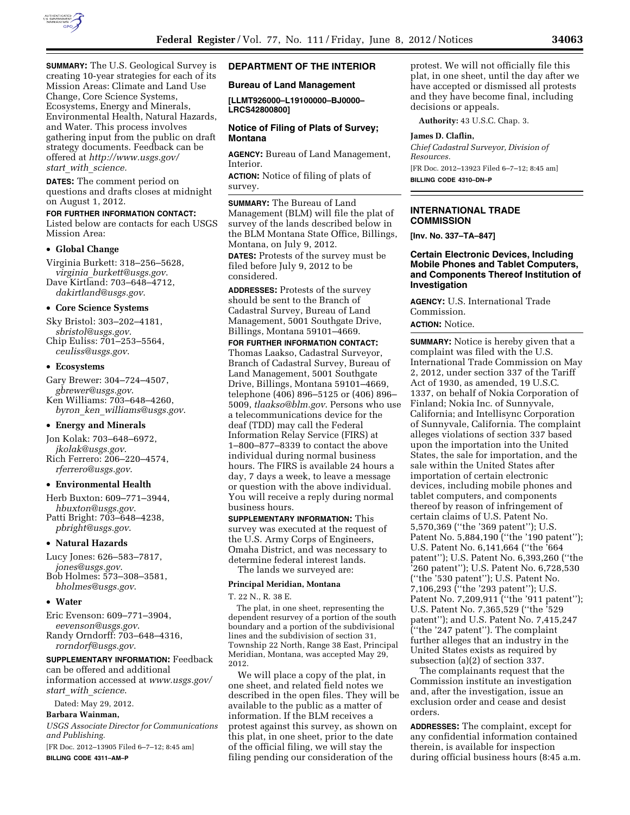

**SUMMARY:** The U.S. Geological Survey is creating 10-year strategies for each of its Mission Areas: Climate and Land Use Change, Core Science Systems, Ecosystems, Energy and Minerals, Environmental Health, Natural Hazards, and Water. This process involves gathering input from the public on draft strategy documents. Feedback can be offered at *[http://www.usgs.gov/](http://www.usgs.gov/start_with_science) start*\_*with*\_*[science.](http://www.usgs.gov/start_with_science)* 

**DATES:** The comment period on questions and drafts closes at midnight on August 1, 2012.

### **FOR FURTHER INFORMATION CONTACT:**

Listed below are contacts for each USGS Mission Area:

### • **Global Change**

Virginia Burkett: 318–256–5628, *virginia*\_*[burkett@usgs.gov](mailto:virginia_burkett@usgs.gov)*. Dave Kirtland: 703–648–4712, *[dakirtland@usgs.gov](mailto:dakirtland@usgs.gov)*.

### • **Core Science Systems**

Sky Bristol: 303–202–4181, *[sbristol@usgs.gov](mailto:sbristol@usgs.gov)*. Chip Euliss: 701–253–5564, *[ceuliss@usgs.gov](mailto:ceuliss@usgs.gov)*.

### • **Ecosystems**

Gary Brewer: 304–724–4507, *[gbrewer@usgs.gov](mailto:gbrewer@usgs.gov)*. Ken Williams: 703–648–4260, *byron*\_*ken*\_*[williams@usgs.gov](mailto:byron_ken_williams@usgs.gov)*.

### • **Energy and Minerals**

Jon Kolak: 703–648–6972, *[jkolak@usgs.gov](mailto:jkolak@usgs.gov)*.

Rich Ferrero: 206–220–4574, *[rferrero@usgs.gov](mailto:rferrero@usgs.gov)*.

## • **Environmental Health**

Herb Buxton: 609–771–3944, *[hbuxton@usgs.gov](mailto:hbuxton@usgs.gov)*. Patti Bright: 703–648–4238,

*[pbright@usgs.gov](mailto:pbright@usgs.gov)*.

### • **Natural Hazards**

Lucy Jones: 626–583–7817, *[jones@usgs.gov](mailto:jones@usgs.gov)*. Bob Holmes: 573–308–3581, *[bholmes@usgs.gov](mailto:bholmes@usgs.gov)*.

### • **Water**

Eric Evenson: 609–771–3904, *[eevenson@usgs.gov](mailto:eevenson@usgs.gov)*. Randy Orndorff: 703–648–4316, *[rorndorf@usgs.gov](mailto:rorndorf@usgs.gov)*.

### **SUPPLEMENTARY INFORMATION:** Feedback

can be offered and additional information accessed at *[www.usgs.gov/](http://www.usgs.gov/start_with_science) start*\_*with*\_*[science](http://www.usgs.gov/start_with_science)*.

Dated: May 29, 2012.

## **Barbara Wainman,**

*USGS Associate Director for Communications and Publishing.* 

[FR Doc. 2012–13905 Filed 6–7–12; 8:45 am] **BILLING CODE 4311–AM–P** 

# **DEPARTMENT OF THE INTERIOR**

## **Bureau of Land Management**

**[LLMT926000–L19100000–BJ0000– LRCS42800800]** 

## **Notice of Filing of Plats of Survey; Montana**

**AGENCY:** Bureau of Land Management, Interior.

**ACTION:** Notice of filing of plats of survey.

**SUMMARY:** The Bureau of Land Management (BLM) will file the plat of survey of the lands described below in the BLM Montana State Office, Billings, Montana, on July 9, 2012. **DATES:** Protests of the survey must be filed before July 9, 2012 to be

considered.

**ADDRESSES:** Protests of the survey should be sent to the Branch of Cadastral Survey, Bureau of Land Management, 5001 Southgate Drive, Billings, Montana 59101–4669.

**FOR FURTHER INFORMATION CONTACT:**  Thomas Laakso, Cadastral Surveyor, Branch of Cadastral Survey, Bureau of Land Management, 5001 Southgate Drive, Billings, Montana 59101–4669, telephone (406) 896–5125 or (406) 896– 5009, *[tlaakso@blm.gov](mailto:tlaakso@blm.gov)*. Persons who use a telecommunications device for the deaf (TDD) may call the Federal Information Relay Service (FIRS) at 1–800–877–8339 to contact the above individual during normal business hours. The FIRS is available 24 hours a day, 7 days a week, to leave a message or question with the above individual. You will receive a reply during normal business hours.

**SUPPLEMENTARY INFORMATION:** This survey was executed at the request of the U.S. Army Corps of Engineers, Omaha District, and was necessary to determine federal interest lands. The lands we surveyed are:

#### **Principal Meridian, Montana**

T. 22 N., R. 38 E.

The plat, in one sheet, representing the dependent resurvey of a portion of the south boundary and a portion of the subdivisional lines and the subdivision of section 31, Township 22 North, Range 38 East, Principal Meridian, Montana, was accepted May 29, 2012.

We will place a copy of the plat, in one sheet, and related field notes we described in the open files. They will be available to the public as a matter of information. If the BLM receives a protest against this survey, as shown on this plat, in one sheet, prior to the date of the official filing, we will stay the filing pending our consideration of the

protest. We will not officially file this plat, in one sheet, until the day after we have accepted or dismissed all protests and they have become final, including decisions or appeals.

**Authority:** 43 U.S.C. Chap. 3.

### **James D. Claflin,**

*Chief Cadastral Surveyor, Division of Resources.*  [FR Doc. 2012–13923 Filed 6–7–12; 8:45 am] **BILLING CODE 4310–DN–P** 

## **INTERNATIONAL TRADE COMMISSION**

**[Inv. No. 337–TA–847]** 

### **Certain Electronic Devices, Including Mobile Phones and Tablet Computers, and Components Thereof Institution of Investigation**

**AGENCY:** U.S. International Trade Commission. **ACTION:** Notice.

**SUMMARY:** Notice is hereby given that a complaint was filed with the U.S. International Trade Commission on May 2, 2012, under section 337 of the Tariff Act of 1930, as amended, 19 U.S.C. 1337, on behalf of Nokia Corporation of Finland; Nokia Inc. of Sunnyvale, California; and Intellisync Corporation of Sunnyvale, California. The complaint alleges violations of section 337 based upon the importation into the United States, the sale for importation, and the sale within the United States after importation of certain electronic devices, including mobile phones and tablet computers, and components thereof by reason of infringement of certain claims of U.S. Patent No. 5,570,369 (''the '369 patent''); U.S. Patent No. 5,884,190 (''the '190 patent''); U.S. Patent No. 6,141,664 (''the '664 patent''); U.S. Patent No. 6,393,260 (''the '260 patent''); U.S. Patent No. 6,728,530 (''the '530 patent''); U.S. Patent No. 7,106,293 (''the '293 patent''); U.S. Patent No. 7,209,911 ("the '911 patent"); U.S. Patent No. 7,365,529 (''the '529 patent''); and U.S. Patent No. 7,415,247 (''the '247 patent''). The complaint further alleges that an industry in the United States exists as required by subsection (a)(2) of section 337.

The complainants request that the Commission institute an investigation and, after the investigation, issue an exclusion order and cease and desist orders.

**ADDRESSES:** The complaint, except for any confidential information contained therein, is available for inspection during official business hours (8:45 a.m.